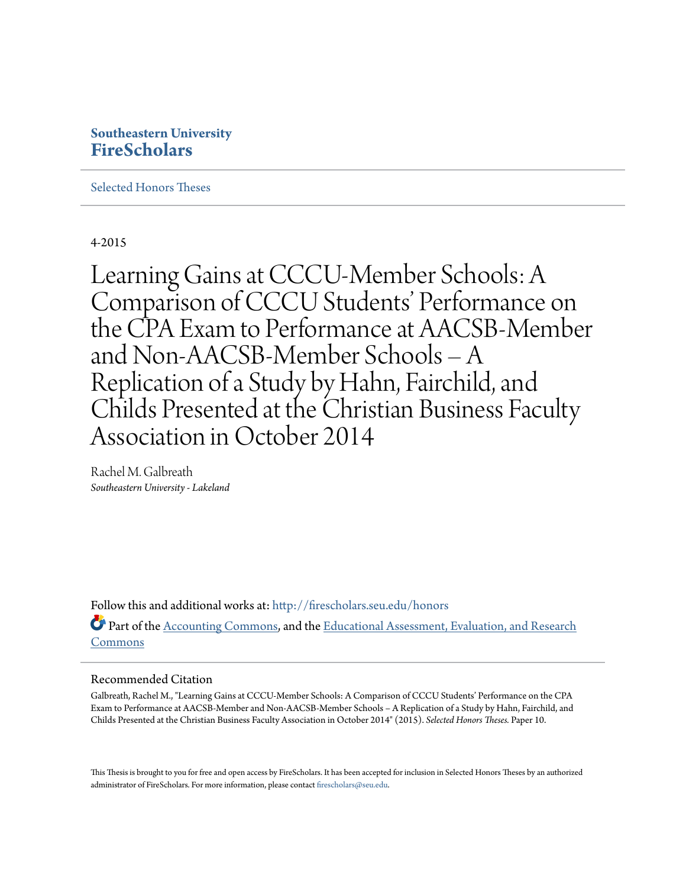# **Southeastern University [FireScholars](http://firescholars.seu.edu?utm_source=firescholars.seu.edu%2Fhonors%2F10&utm_medium=PDF&utm_campaign=PDFCoverPages)**

[Selected Honors Theses](http://firescholars.seu.edu/honors?utm_source=firescholars.seu.edu%2Fhonors%2F10&utm_medium=PDF&utm_campaign=PDFCoverPages)

4-2015

Learning Gains at CCCU-Member Schools: A Comparison of CCCU Students' Performance on the CPA Exam to Performance at AACSB-Member and Non-AACSB-Member Schools – A Replication of a Study by Hahn, Fairchild, and Childs Presented at the Christian Business Faculty Association in October 2014

Rachel M. Galbreath *Southeastern University - Lakeland*

Follow this and additional works at: [http://firescholars.seu.edu/honors](http://firescholars.seu.edu/honors?utm_source=firescholars.seu.edu%2Fhonors%2F10&utm_medium=PDF&utm_campaign=PDFCoverPages) Part of the [Accounting Commons](http://network.bepress.com/hgg/discipline/625?utm_source=firescholars.seu.edu%2Fhonors%2F10&utm_medium=PDF&utm_campaign=PDFCoverPages), and the [Educational Assessment, Evaluation, and Research](http://network.bepress.com/hgg/discipline/796?utm_source=firescholars.seu.edu%2Fhonors%2F10&utm_medium=PDF&utm_campaign=PDFCoverPages) [Commons](http://network.bepress.com/hgg/discipline/796?utm_source=firescholars.seu.edu%2Fhonors%2F10&utm_medium=PDF&utm_campaign=PDFCoverPages)

## Recommended Citation

Galbreath, Rachel M., "Learning Gains at CCCU-Member Schools: A Comparison of CCCU Students' Performance on the CPA Exam to Performance at AACSB-Member and Non-AACSB-Member Schools – A Replication of a Study by Hahn, Fairchild, and Childs Presented at the Christian Business Faculty Association in October 2014" (2015). *Selected Honors Theses.* Paper 10.

This Thesis is brought to you for free and open access by FireScholars. It has been accepted for inclusion in Selected Honors Theses by an authorized administrator of FireScholars. For more information, please contact [firescholars@seu.edu](mailto:firescholars@seu.edu).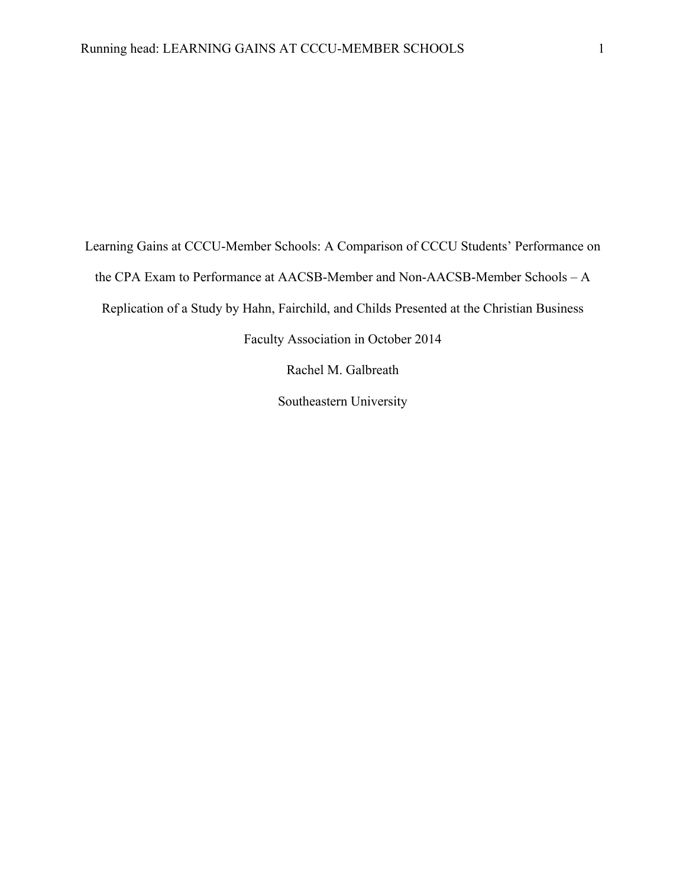Learning Gains at CCCU-Member Schools: A Comparison of CCCU Students' Performance on the CPA Exam to Performance at AACSB-Member and Non-AACSB-Member Schools – A Replication of a Study by Hahn, Fairchild, and Childs Presented at the Christian Business Faculty Association in October 2014

Rachel M. Galbreath

Southeastern University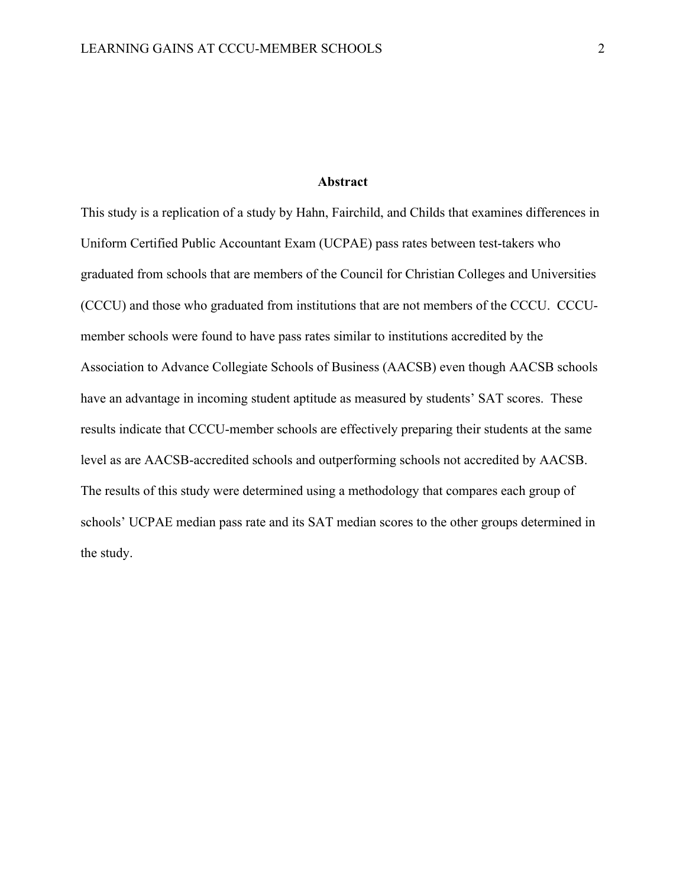#### **Abstract**

This study is a replication of a study by Hahn, Fairchild, and Childs that examines differences in Uniform Certified Public Accountant Exam (UCPAE) pass rates between test-takers who graduated from schools that are members of the Council for Christian Colleges and Universities (CCCU) and those who graduated from institutions that are not members of the CCCU. CCCUmember schools were found to have pass rates similar to institutions accredited by the Association to Advance Collegiate Schools of Business (AACSB) even though AACSB schools have an advantage in incoming student aptitude as measured by students' SAT scores. These results indicate that CCCU-member schools are effectively preparing their students at the same level as are AACSB-accredited schools and outperforming schools not accredited by AACSB. The results of this study were determined using a methodology that compares each group of schools' UCPAE median pass rate and its SAT median scores to the other groups determined in the study.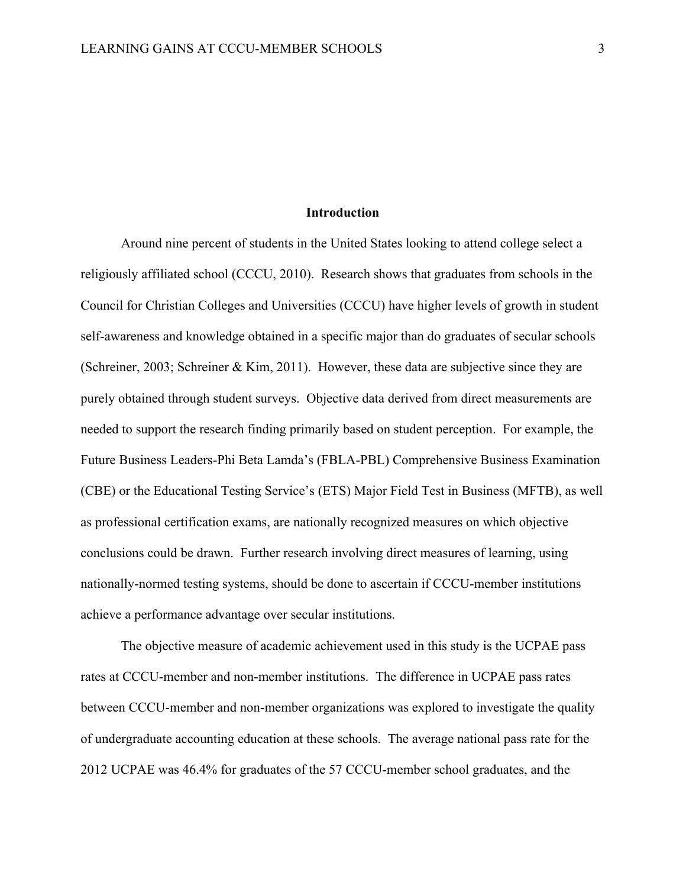#### **Introduction**

Around nine percent of students in the United States looking to attend college select a religiously affiliated school (CCCU, 2010). Research shows that graduates from schools in the Council for Christian Colleges and Universities (CCCU) have higher levels of growth in student self-awareness and knowledge obtained in a specific major than do graduates of secular schools (Schreiner, 2003; Schreiner & Kim, 2011). However, these data are subjective since they are purely obtained through student surveys. Objective data derived from direct measurements are needed to support the research finding primarily based on student perception. For example, the Future Business Leaders-Phi Beta Lamda's (FBLA-PBL) Comprehensive Business Examination (CBE) or the Educational Testing Service's (ETS) Major Field Test in Business (MFTB), as well as professional certification exams, are nationally recognized measures on which objective conclusions could be drawn. Further research involving direct measures of learning, using nationally-normed testing systems, should be done to ascertain if CCCU-member institutions achieve a performance advantage over secular institutions.

The objective measure of academic achievement used in this study is the UCPAE pass rates at CCCU-member and non-member institutions. The difference in UCPAE pass rates between CCCU-member and non-member organizations was explored to investigate the quality of undergraduate accounting education at these schools. The average national pass rate for the 2012 UCPAE was 46.4% for graduates of the 57 CCCU-member school graduates, and the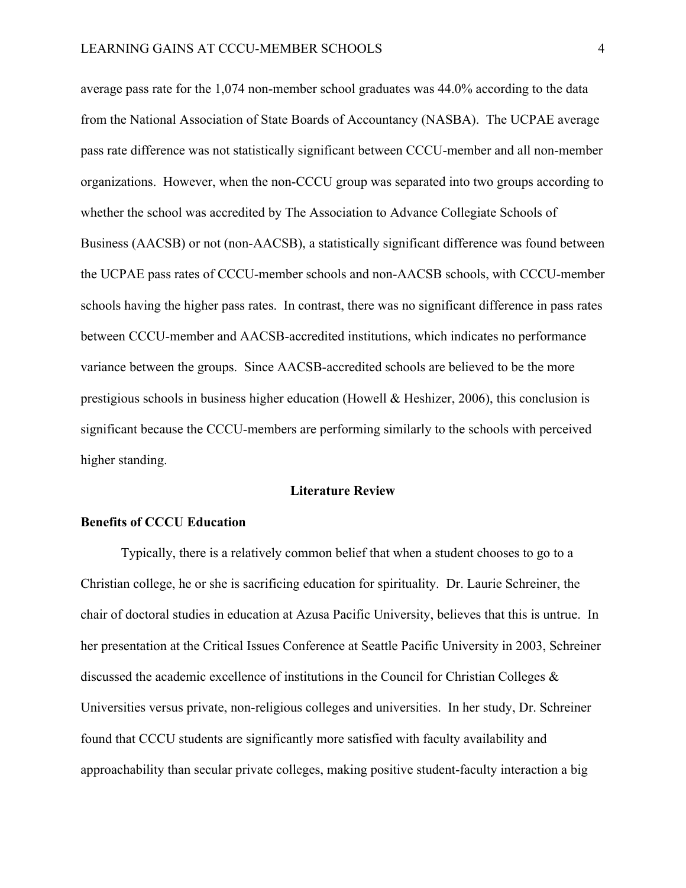average pass rate for the 1,074 non-member school graduates was 44.0% according to the data from the National Association of State Boards of Accountancy (NASBA). The UCPAE average pass rate difference was not statistically significant between CCCU-member and all non-member organizations. However, when the non-CCCU group was separated into two groups according to whether the school was accredited by The Association to Advance Collegiate Schools of Business (AACSB) or not (non-AACSB), a statistically significant difference was found between the UCPAE pass rates of CCCU-member schools and non-AACSB schools, with CCCU-member schools having the higher pass rates. In contrast, there was no significant difference in pass rates between CCCU-member and AACSB-accredited institutions, which indicates no performance variance between the groups. Since AACSB-accredited schools are believed to be the more prestigious schools in business higher education (Howell & Heshizer, 2006), this conclusion is significant because the CCCU-members are performing similarly to the schools with perceived higher standing.

#### **Literature Review**

#### **Benefits of CCCU Education**

Typically, there is a relatively common belief that when a student chooses to go to a Christian college, he or she is sacrificing education for spirituality. Dr. Laurie Schreiner, the chair of doctoral studies in education at Azusa Pacific University, believes that this is untrue. In her presentation at the Critical Issues Conference at Seattle Pacific University in 2003, Schreiner discussed the academic excellence of institutions in the Council for Christian Colleges & Universities versus private, non-religious colleges and universities. In her study, Dr. Schreiner found that CCCU students are significantly more satisfied with faculty availability and approachability than secular private colleges, making positive student-faculty interaction a big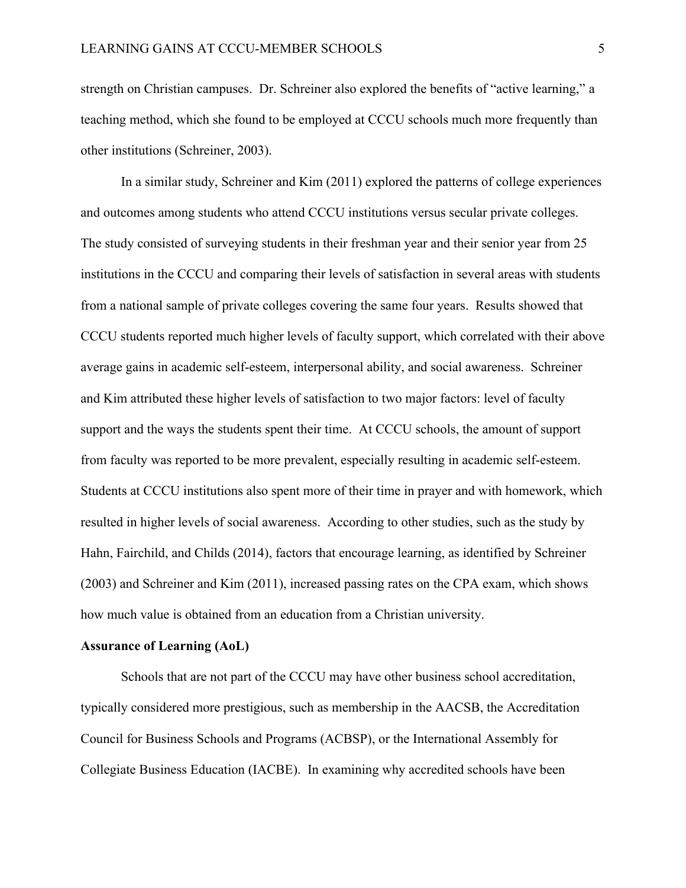strength on Christian campuses. Dr. Schreiner also explored the benefits of "active learning," a teaching method, which she found to be employed at CCCU schools much more frequently than other institutions (Schreiner, 2003).

In a similar study, Schreiner and Kim (2011) explored the patterns of college experiences and outcomes among students who attend CCCU institutions versus secular private colleges. The study consisted of surveying students in their freshman year and their senior year from 25 institutions in the CCCU and comparing their levels of satisfaction in several areas with students from a national sample of private colleges covering the same four years. Results showed that CCCU students reported much higher levels of faculty support, which correlated with their above average gains in academic self-esteem, interpersonal ability, and social awareness. Schreiner and Kim attributed these higher levels of satisfaction to two major factors: level of faculty support and the ways the students spent their time. At CCCU schools, the amount of support from faculty was reported to be more prevalent, especially resulting in academic self-esteem. Students at CCCU institutions also spent more of their time in prayer and with homework, which resulted in higher levels of social awareness. According to other studies, such as the study by Hahn, Fairchild, and Childs (2014), factors that encourage learning, as identified by Schreiner (2003) and Schreiner and Kim (2011), increased passing rates on the CPA exam, which shows how much value is obtained from an education from a Christian university.

#### **Assurance of Learning (AoL)**

Schools that are not part of the CCCU may have other business school accreditation, typically considered more prestigious, such as membership in the AACSB, the Accreditation Council for Business Schools and Programs (ACBSP), or the International Assembly for Collegiate Business Education (IACBE). In examining why accredited schools have been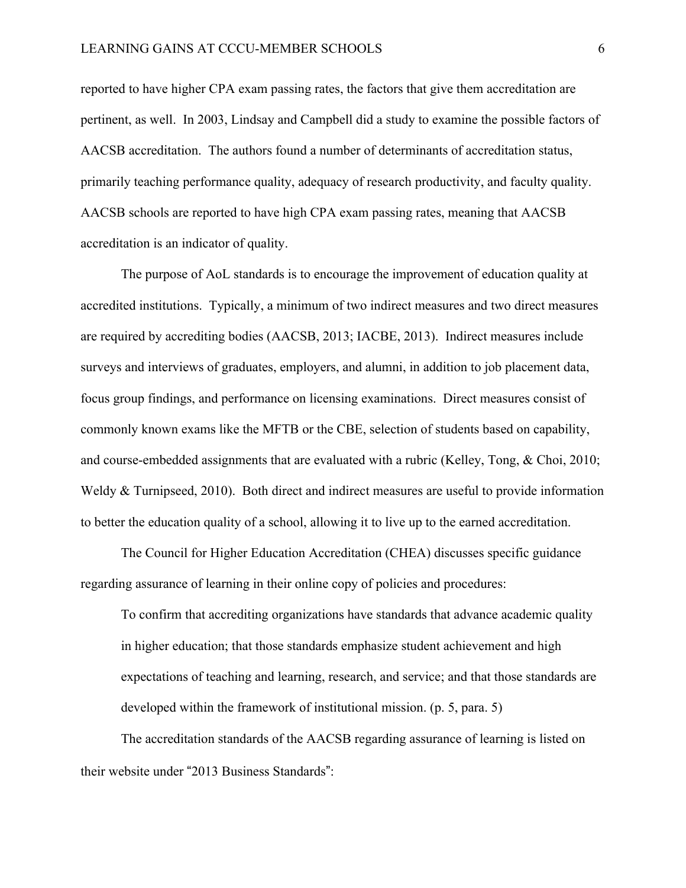reported to have higher CPA exam passing rates, the factors that give them accreditation are pertinent, as well. In 2003, Lindsay and Campbell did a study to examine the possible factors of AACSB accreditation. The authors found a number of determinants of accreditation status, primarily teaching performance quality, adequacy of research productivity, and faculty quality. AACSB schools are reported to have high CPA exam passing rates, meaning that AACSB accreditation is an indicator of quality.

The purpose of AoL standards is to encourage the improvement of education quality at accredited institutions. Typically, a minimum of two indirect measures and two direct measures are required by accrediting bodies (AACSB, 2013; IACBE, 2013). Indirect measures include surveys and interviews of graduates, employers, and alumni, in addition to job placement data, focus group findings, and performance on licensing examinations. Direct measures consist of commonly known exams like the MFTB or the CBE, selection of students based on capability, and course-embedded assignments that are evaluated with a rubric (Kelley, Tong, & Choi, 2010; Weldy & Turnipseed, 2010). Both direct and indirect measures are useful to provide information to better the education quality of a school, allowing it to live up to the earned accreditation.

The Council for Higher Education Accreditation (CHEA) discusses specific guidance regarding assurance of learning in their online copy of policies and procedures:

To confirm that accrediting organizations have standards that advance academic quality in higher education; that those standards emphasize student achievement and high expectations of teaching and learning, research, and service; and that those standards are developed within the framework of institutional mission. (p. 5, para. 5)

The accreditation standards of the AACSB regarding assurance of learning is listed on their website under "2013 Business Standards":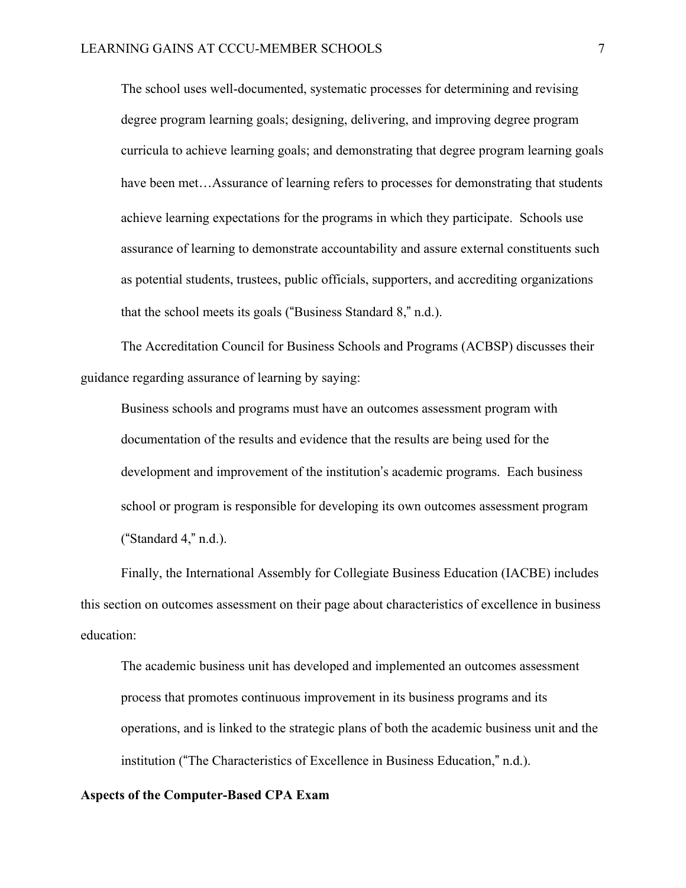The school uses well-documented, systematic processes for determining and revising degree program learning goals; designing, delivering, and improving degree program curricula to achieve learning goals; and demonstrating that degree program learning goals have been met...Assurance of learning refers to processes for demonstrating that students achieve learning expectations for the programs in which they participate. Schools use assurance of learning to demonstrate accountability and assure external constituents such as potential students, trustees, public officials, supporters, and accrediting organizations that the school meets its goals ("Business Standard  $8$ ," n.d.).

The Accreditation Council for Business Schools and Programs (ACBSP) discusses their guidance regarding assurance of learning by saying:

Business schools and programs must have an outcomes assessment program with documentation of the results and evidence that the results are being used for the development and improvement of the institution's academic programs. Each business school or program is responsible for developing its own outcomes assessment program ("Standard  $4$ ," n.d.).

Finally, the International Assembly for Collegiate Business Education (IACBE) includes this section on outcomes assessment on their page about characteristics of excellence in business education:

The academic business unit has developed and implemented an outcomes assessment process that promotes continuous improvement in its business programs and its operations, and is linked to the strategic plans of both the academic business unit and the institution ("The Characteristics of Excellence in Business Education," n.d.).

## **Aspects of the Computer-Based CPA Exam**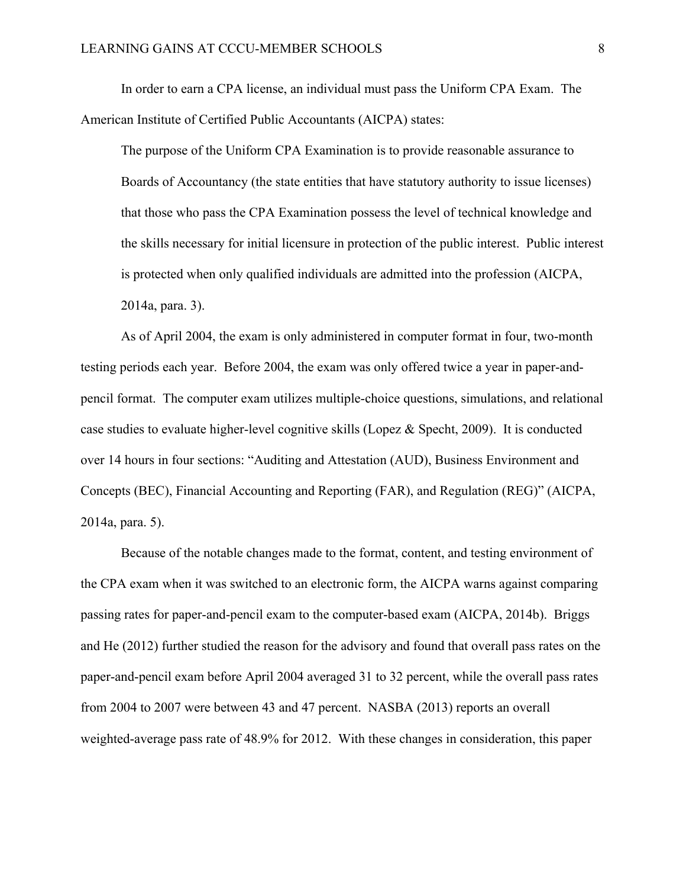In order to earn a CPA license, an individual must pass the Uniform CPA Exam. The American Institute of Certified Public Accountants (AICPA) states:

The purpose of the Uniform CPA Examination is to provide reasonable assurance to Boards of Accountancy (the state entities that have statutory authority to issue licenses) that those who pass the CPA Examination possess the level of technical knowledge and the skills necessary for initial licensure in protection of the public interest. Public interest is protected when only qualified individuals are admitted into the profession (AICPA, 2014a, para. 3).

As of April 2004, the exam is only administered in computer format in four, two-month testing periods each year. Before 2004, the exam was only offered twice a year in paper-andpencil format. The computer exam utilizes multiple-choice questions, simulations, and relational case studies to evaluate higher-level cognitive skills (Lopez  $\&$  Specht, 2009). It is conducted over 14 hours in four sections: "Auditing and Attestation (AUD), Business Environment and Concepts (BEC), Financial Accounting and Reporting (FAR), and Regulation (REG)" (AICPA, 2014a, para. 5).

Because of the notable changes made to the format, content, and testing environment of the CPA exam when it was switched to an electronic form, the AICPA warns against comparing passing rates for paper-and-pencil exam to the computer-based exam (AICPA, 2014b). Briggs and He (2012) further studied the reason for the advisory and found that overall pass rates on the paper-and-pencil exam before April 2004 averaged 31 to 32 percent, while the overall pass rates from 2004 to 2007 were between 43 and 47 percent. NASBA (2013) reports an overall weighted-average pass rate of 48.9% for 2012. With these changes in consideration, this paper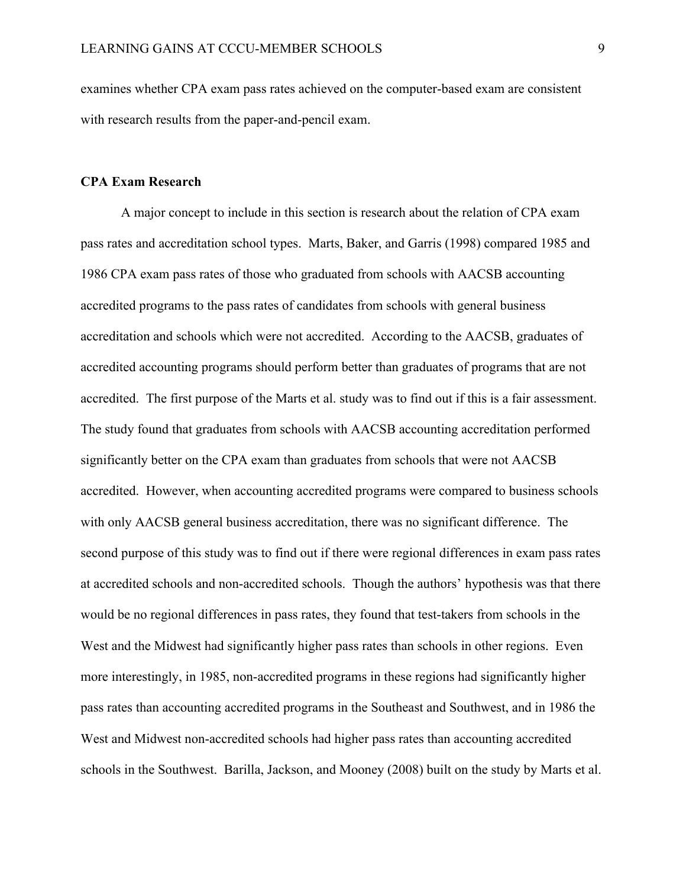examines whether CPA exam pass rates achieved on the computer-based exam are consistent with research results from the paper-and-pencil exam.

#### **CPA Exam Research**

A major concept to include in this section is research about the relation of CPA exam pass rates and accreditation school types. Marts, Baker, and Garris (1998) compared 1985 and 1986 CPA exam pass rates of those who graduated from schools with AACSB accounting accredited programs to the pass rates of candidates from schools with general business accreditation and schools which were not accredited. According to the AACSB, graduates of accredited accounting programs should perform better than graduates of programs that are not accredited. The first purpose of the Marts et al. study was to find out if this is a fair assessment. The study found that graduates from schools with AACSB accounting accreditation performed significantly better on the CPA exam than graduates from schools that were not AACSB accredited. However, when accounting accredited programs were compared to business schools with only AACSB general business accreditation, there was no significant difference. The second purpose of this study was to find out if there were regional differences in exam pass rates at accredited schools and non-accredited schools. Though the authors' hypothesis was that there would be no regional differences in pass rates, they found that test-takers from schools in the West and the Midwest had significantly higher pass rates than schools in other regions. Even more interestingly, in 1985, non-accredited programs in these regions had significantly higher pass rates than accounting accredited programs in the Southeast and Southwest, and in 1986 the West and Midwest non-accredited schools had higher pass rates than accounting accredited schools in the Southwest. Barilla, Jackson, and Mooney (2008) built on the study by Marts et al.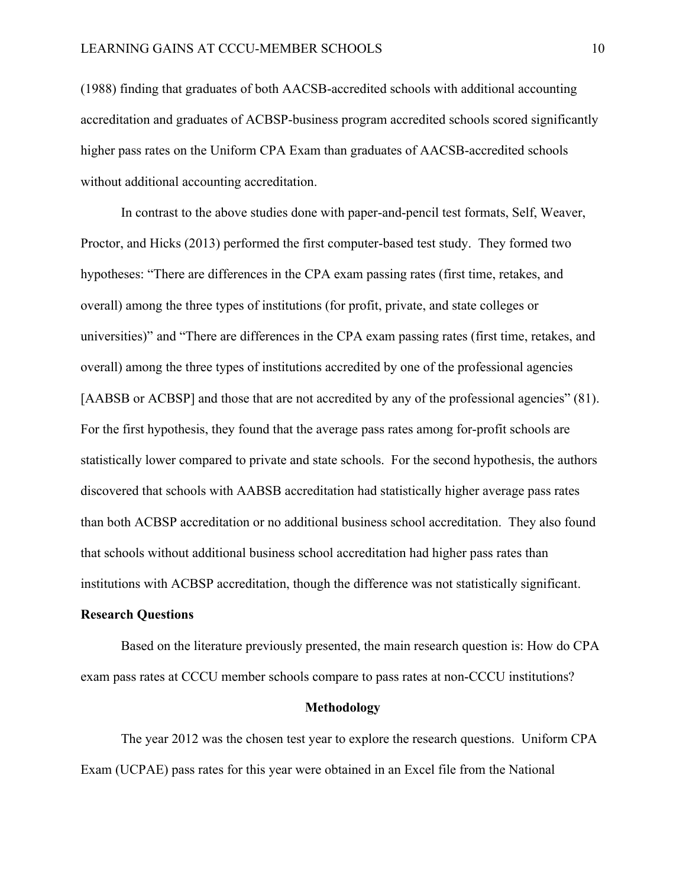(1988) finding that graduates of both AACSB-accredited schools with additional accounting accreditation and graduates of ACBSP-business program accredited schools scored significantly higher pass rates on the Uniform CPA Exam than graduates of AACSB-accredited schools without additional accounting accreditation.

In contrast to the above studies done with paper-and-pencil test formats, Self, Weaver, Proctor, and Hicks (2013) performed the first computer-based test study. They formed two hypotheses: "There are differences in the CPA exam passing rates (first time, retakes, and overall) among the three types of institutions (for profit, private, and state colleges or universities)" and "There are differences in the CPA exam passing rates (first time, retakes, and overall) among the three types of institutions accredited by one of the professional agencies [AABSB or ACBSP] and those that are not accredited by any of the professional agencies" (81). For the first hypothesis, they found that the average pass rates among for-profit schools are statistically lower compared to private and state schools. For the second hypothesis, the authors discovered that schools with AABSB accreditation had statistically higher average pass rates than both ACBSP accreditation or no additional business school accreditation. They also found that schools without additional business school accreditation had higher pass rates than institutions with ACBSP accreditation, though the difference was not statistically significant.

## **Research Questions**

Based on the literature previously presented, the main research question is: How do CPA exam pass rates at CCCU member schools compare to pass rates at non-CCCU institutions?

## **Methodology**

The year 2012 was the chosen test year to explore the research questions. Uniform CPA Exam (UCPAE) pass rates for this year were obtained in an Excel file from the National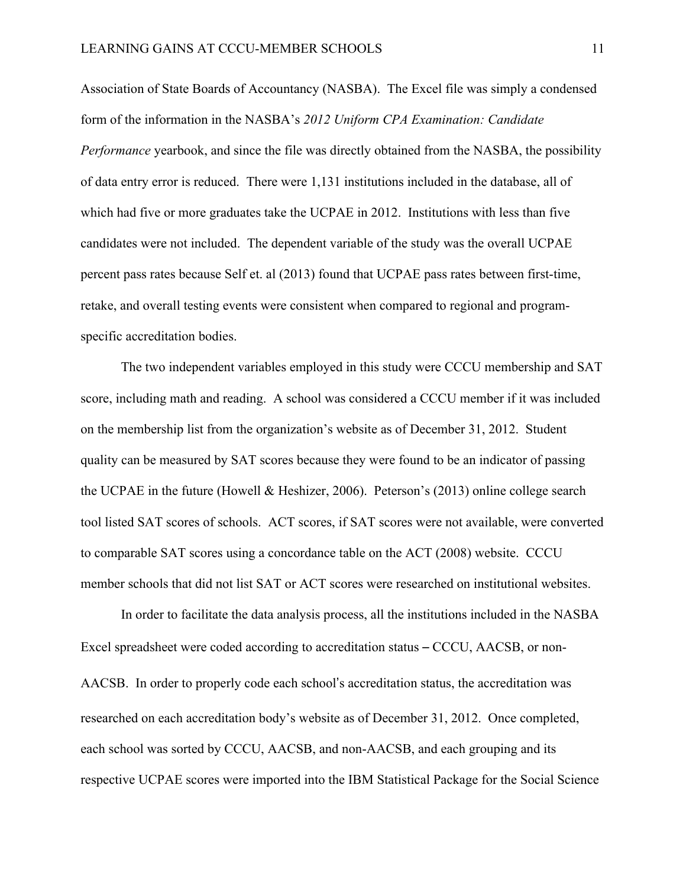Association of State Boards of Accountancy (NASBA). The Excel file was simply a condensed form of the information in the NASBA's *2012 Uniform CPA Examination: Candidate Performance* yearbook, and since the file was directly obtained from the NASBA, the possibility of data entry error is reduced. There were 1,131 institutions included in the database, all of which had five or more graduates take the UCPAE in 2012. Institutions with less than five candidates were not included. The dependent variable of the study was the overall UCPAE percent pass rates because Self et. al (2013) found that UCPAE pass rates between first-time, retake, and overall testing events were consistent when compared to regional and programspecific accreditation bodies.

The two independent variables employed in this study were CCCU membership and SAT score, including math and reading. A school was considered a CCCU member if it was included on the membership list from the organization's website as of December 31, 2012. Student quality can be measured by SAT scores because they were found to be an indicator of passing the UCPAE in the future (Howell & Heshizer, 2006). Peterson's (2013) online college search tool listed SAT scores of schools. ACT scores, if SAT scores were not available, were converted to comparable SAT scores using a concordance table on the ACT (2008) website. CCCU member schools that did not list SAT or ACT scores were researched on institutional websites.

In order to facilitate the data analysis process, all the institutions included in the NASBA Excel spreadsheet were coded according to accreditation status - CCCU, AACSB, or non-AACSB. In order to properly code each school's accreditation status, the accreditation was researched on each accreditation body's website as of December 31, 2012. Once completed, each school was sorted by CCCU, AACSB, and non-AACSB, and each grouping and its respective UCPAE scores were imported into the IBM Statistical Package for the Social Science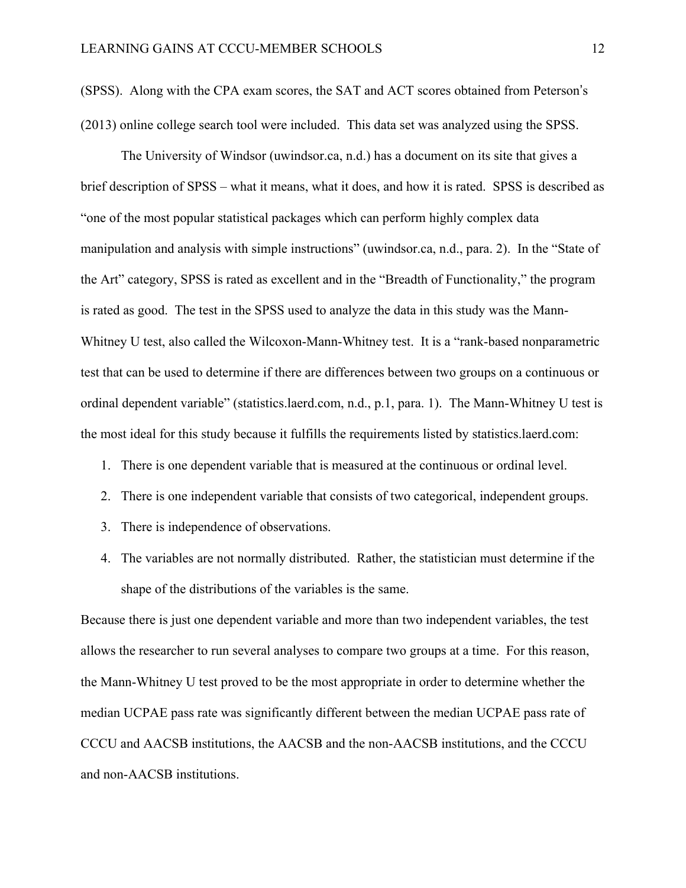(SPSS). Along with the CPA exam scores, the SAT and ACT scores obtained from Peterson's (2013) online college search tool were included. This data set was analyzed using the SPSS.

The University of Windsor (uwindsor.ca, n.d.) has a document on its site that gives a brief description of SPSS – what it means, what it does, and how it is rated. SPSS is described as "one of the most popular statistical packages which can perform highly complex data manipulation and analysis with simple instructions" (uwindsor.ca, n.d., para. 2). In the "State of the Art" category, SPSS is rated as excellent and in the "Breadth of Functionality," the program is rated as good. The test in the SPSS used to analyze the data in this study was the Mann-Whitney U test, also called the Wilcoxon-Mann-Whitney test. It is a "rank-based nonparametric test that can be used to determine if there are differences between two groups on a continuous or ordinal dependent variable" (statistics.laerd.com, n.d., p.1, para. 1). The Mann-Whitney U test is the most ideal for this study because it fulfills the requirements listed by statistics.laerd.com:

- 1. There is one dependent variable that is measured at the continuous or ordinal level.
- 2. There is one independent variable that consists of two categorical, independent groups.
- 3. There is independence of observations.
- 4. The variables are not normally distributed. Rather, the statistician must determine if the shape of the distributions of the variables is the same.

Because there is just one dependent variable and more than two independent variables, the test allows the researcher to run several analyses to compare two groups at a time. For this reason, the Mann-Whitney U test proved to be the most appropriate in order to determine whether the median UCPAE pass rate was significantly different between the median UCPAE pass rate of CCCU and AACSB institutions, the AACSB and the non-AACSB institutions, and the CCCU and non-AACSB institutions.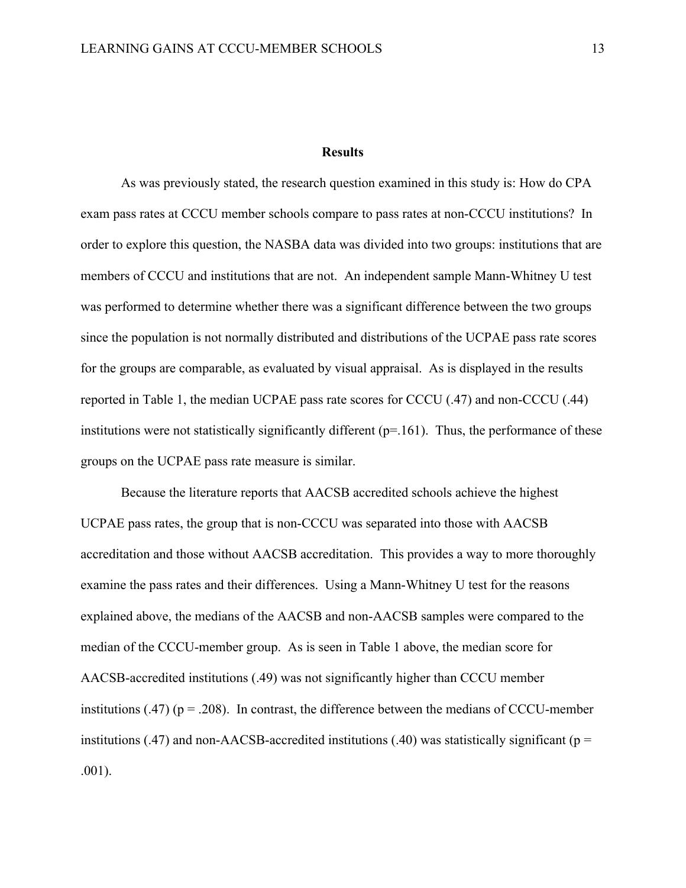#### **Results**

As was previously stated, the research question examined in this study is: How do CPA exam pass rates at CCCU member schools compare to pass rates at non-CCCU institutions? In order to explore this question, the NASBA data was divided into two groups: institutions that are members of CCCU and institutions that are not. An independent sample Mann-Whitney U test was performed to determine whether there was a significant difference between the two groups since the population is not normally distributed and distributions of the UCPAE pass rate scores for the groups are comparable, as evaluated by visual appraisal. As is displayed in the results reported in Table 1, the median UCPAE pass rate scores for CCCU (.47) and non-CCCU (.44) institutions were not statistically significantly different  $(p=161)$ . Thus, the performance of these groups on the UCPAE pass rate measure is similar.

Because the literature reports that AACSB accredited schools achieve the highest UCPAE pass rates, the group that is non-CCCU was separated into those with AACSB accreditation and those without AACSB accreditation. This provides a way to more thoroughly examine the pass rates and their differences. Using a Mann-Whitney U test for the reasons explained above, the medians of the AACSB and non-AACSB samples were compared to the median of the CCCU-member group. As is seen in Table 1 above, the median score for AACSB-accredited institutions (.49) was not significantly higher than CCCU member institutions (.47) ( $p = .208$ ). In contrast, the difference between the medians of CCCU-member institutions (.47) and non-AACSB-accredited institutions (.40) was statistically significant ( $p =$ .001).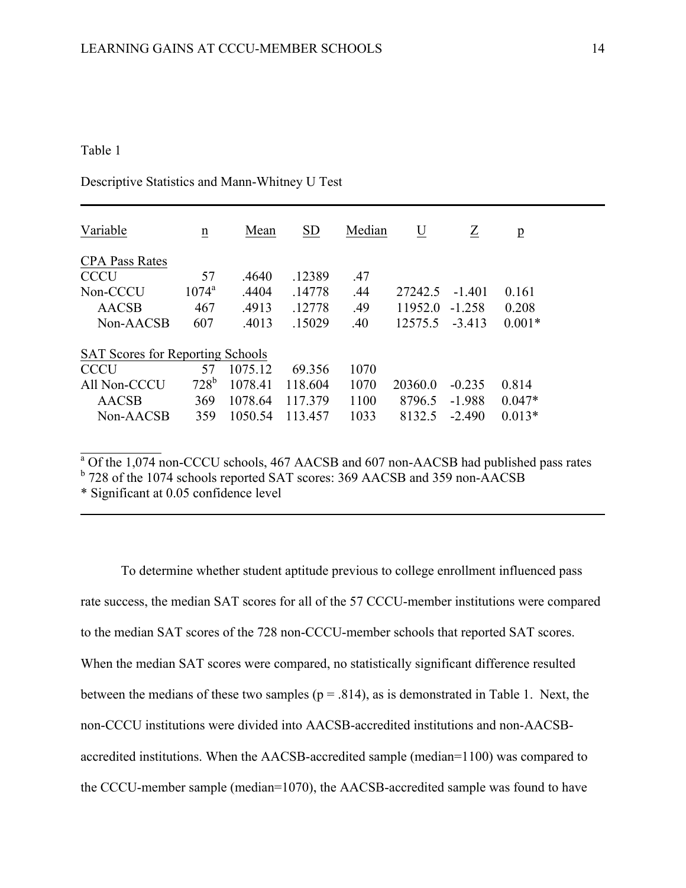## Table 1

Descriptive Statistics and Mann-Whitney U Test

| Variable                                | $\underline{n}$ | Mean    | <b>SD</b> | Median | U       | Z        | $\overline{p}$ |  |
|-----------------------------------------|-----------------|---------|-----------|--------|---------|----------|----------------|--|
| <b>CPA Pass Rates</b>                   |                 |         |           |        |         |          |                |  |
| <b>CCCU</b>                             | 57              | .4640   | .12389    | .47    |         |          |                |  |
| Non-CCCU                                | $1074^{\rm a}$  | .4404   | .14778    | .44    | 27242.5 | $-1401$  | 0.161          |  |
| <b>AACSB</b>                            | 467             | .4913   | -12778    | .49    | 11952.0 | -1 258   | 0.208          |  |
| Non-AACSB                               | 607             | .4013   | .15029    | .40    | 12575.5 | $-3413$  | $0.001*$       |  |
| <b>SAT Scores for Reporting Schools</b> |                 |         |           |        |         |          |                |  |
| <b>CCCU</b>                             | 57              | 1075.12 | 69.356    | 1070   |         |          |                |  |
| All Non-CCCU                            | $728^{\rm b}$   | 1078.41 | 118.604   | 1070   | 20360.0 | $-0.235$ | 0.814          |  |
| <b>AACSB</b>                            | 369             | 1078.64 | 117379    | 1100   | 8796.5  | $-1.988$ | $0.047*$       |  |
| Non-AACSB                               | 359             | 1050.54 | 113 457   | 1033   | 8132.5  | $-2.490$ | $0.013*$       |  |

 $a$  Of the 1,074 non-CCCU schools, 467 AACSB and 607 non-AACSB had published pass rates

<sup>b</sup> 728 of the 1074 schools reported SAT scores: 369 AACSB and 359 non-AACSB

\* Significant at 0.05 confidence level

To determine whether student aptitude previous to college enrollment influenced pass rate success, the median SAT scores for all of the 57 CCCU-member institutions were compared to the median SAT scores of the 728 non-CCCU-member schools that reported SAT scores. When the median SAT scores were compared, no statistically significant difference resulted between the medians of these two samples ( $p = .814$ ), as is demonstrated in Table 1. Next, the non-CCCU institutions were divided into AACSB-accredited institutions and non-AACSBaccredited institutions. When the AACSB-accredited sample (median=1100) was compared to the CCCU-member sample (median=1070), the AACSB-accredited sample was found to have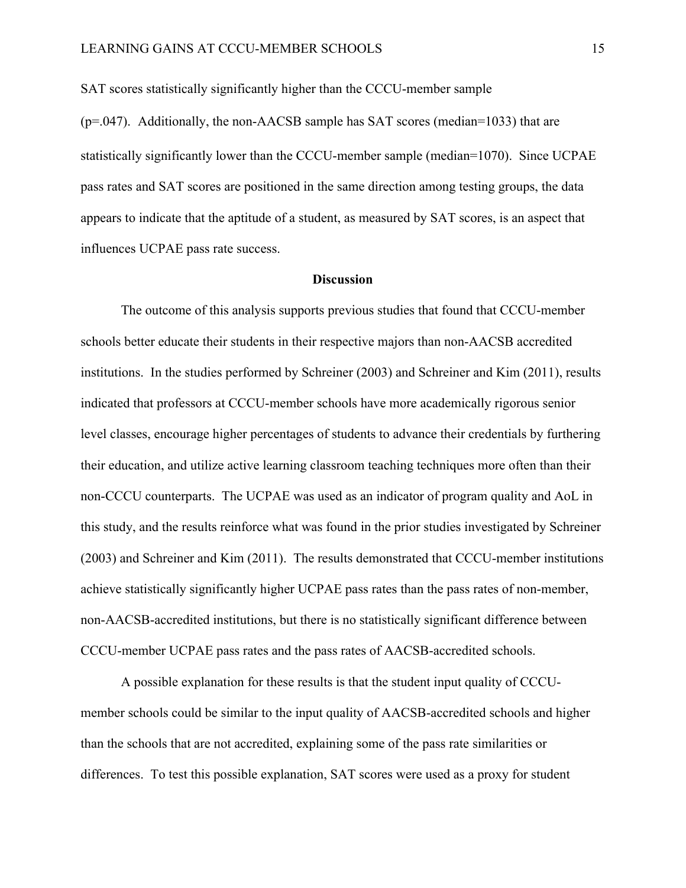SAT scores statistically significantly higher than the CCCU-member sample

(p=.047). Additionally, the non-AACSB sample has SAT scores (median=1033) that are statistically significantly lower than the CCCU-member sample (median=1070). Since UCPAE pass rates and SAT scores are positioned in the same direction among testing groups, the data appears to indicate that the aptitude of a student, as measured by SAT scores, is an aspect that influences UCPAE pass rate success.

## **Discussion**

The outcome of this analysis supports previous studies that found that CCCU-member schools better educate their students in their respective majors than non-AACSB accredited institutions. In the studies performed by Schreiner (2003) and Schreiner and Kim (2011), results indicated that professors at CCCU-member schools have more academically rigorous senior level classes, encourage higher percentages of students to advance their credentials by furthering their education, and utilize active learning classroom teaching techniques more often than their non-CCCU counterparts. The UCPAE was used as an indicator of program quality and AoL in this study, and the results reinforce what was found in the prior studies investigated by Schreiner (2003) and Schreiner and Kim (2011). The results demonstrated that CCCU-member institutions achieve statistically significantly higher UCPAE pass rates than the pass rates of non-member, non-AACSB-accredited institutions, but there is no statistically significant difference between CCCU-member UCPAE pass rates and the pass rates of AACSB-accredited schools.

A possible explanation for these results is that the student input quality of CCCUmember schools could be similar to the input quality of AACSB-accredited schools and higher than the schools that are not accredited, explaining some of the pass rate similarities or differences. To test this possible explanation, SAT scores were used as a proxy for student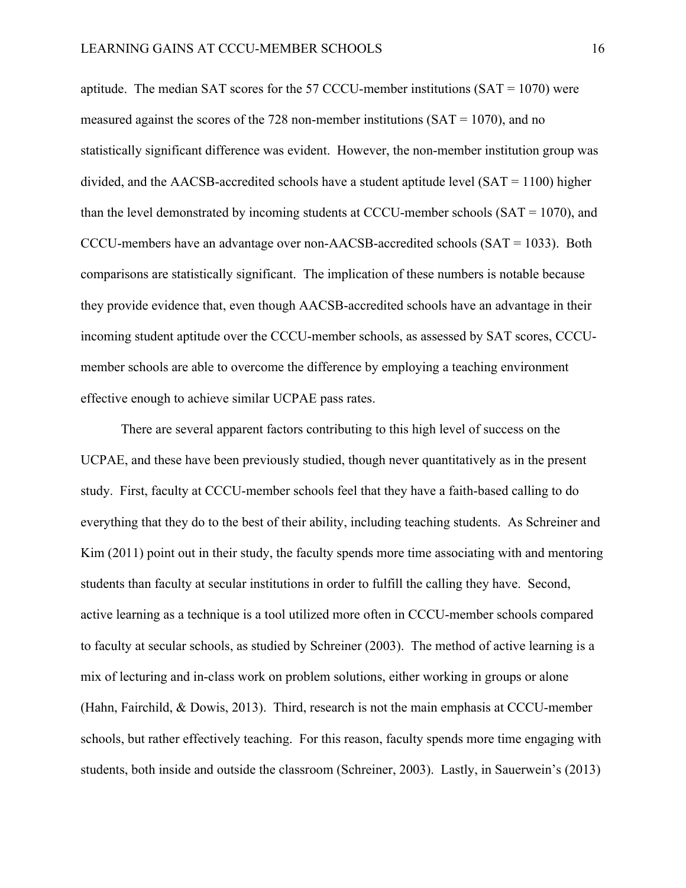aptitude. The median SAT scores for the 57 CCCU-member institutions  $(SAT = 1070)$  were measured against the scores of the 728 non-member institutions ( $SAT = 1070$ ), and no statistically significant difference was evident. However, the non-member institution group was divided, and the AACSB-accredited schools have a student aptitude level (SAT = 1100) higher than the level demonstrated by incoming students at CCCU-member schools (SAT = 1070), and CCCU-members have an advantage over non-AACSB-accredited schools (SAT = 1033). Both comparisons are statistically significant. The implication of these numbers is notable because they provide evidence that, even though AACSB-accredited schools have an advantage in their incoming student aptitude over the CCCU-member schools, as assessed by SAT scores, CCCUmember schools are able to overcome the difference by employing a teaching environment effective enough to achieve similar UCPAE pass rates.

There are several apparent factors contributing to this high level of success on the UCPAE, and these have been previously studied, though never quantitatively as in the present study. First, faculty at CCCU-member schools feel that they have a faith-based calling to do everything that they do to the best of their ability, including teaching students. As Schreiner and Kim (2011) point out in their study, the faculty spends more time associating with and mentoring students than faculty at secular institutions in order to fulfill the calling they have. Second, active learning as a technique is a tool utilized more often in CCCU-member schools compared to faculty at secular schools, as studied by Schreiner (2003). The method of active learning is a mix of lecturing and in-class work on problem solutions, either working in groups or alone (Hahn, Fairchild, & Dowis, 2013). Third, research is not the main emphasis at CCCU-member schools, but rather effectively teaching. For this reason, faculty spends more time engaging with students, both inside and outside the classroom (Schreiner, 2003). Lastly, in Sauerwein's (2013)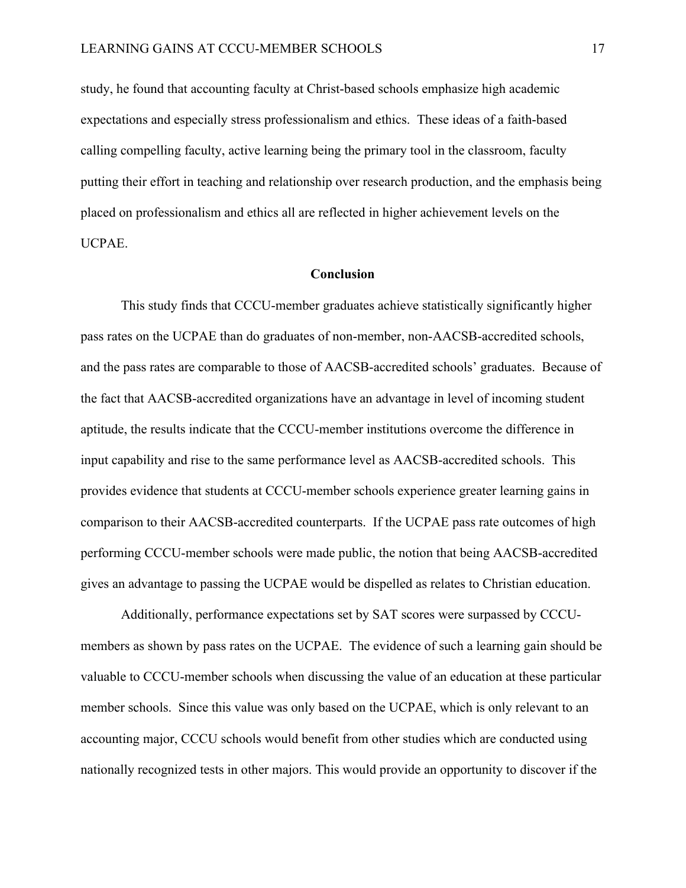study, he found that accounting faculty at Christ-based schools emphasize high academic expectations and especially stress professionalism and ethics. These ideas of a faith-based calling compelling faculty, active learning being the primary tool in the classroom, faculty putting their effort in teaching and relationship over research production, and the emphasis being placed on professionalism and ethics all are reflected in higher achievement levels on the UCPAE.

## **Conclusion**

This study finds that CCCU-member graduates achieve statistically significantly higher pass rates on the UCPAE than do graduates of non-member, non-AACSB-accredited schools, and the pass rates are comparable to those of AACSB-accredited schools' graduates. Because of the fact that AACSB-accredited organizations have an advantage in level of incoming student aptitude, the results indicate that the CCCU-member institutions overcome the difference in input capability and rise to the same performance level as AACSB-accredited schools. This provides evidence that students at CCCU-member schools experience greater learning gains in comparison to their AACSB-accredited counterparts. If the UCPAE pass rate outcomes of high performing CCCU-member schools were made public, the notion that being AACSB-accredited gives an advantage to passing the UCPAE would be dispelled as relates to Christian education.

Additionally, performance expectations set by SAT scores were surpassed by CCCUmembers as shown by pass rates on the UCPAE. The evidence of such a learning gain should be valuable to CCCU-member schools when discussing the value of an education at these particular member schools. Since this value was only based on the UCPAE, which is only relevant to an accounting major, CCCU schools would benefit from other studies which are conducted using nationally recognized tests in other majors. This would provide an opportunity to discover if the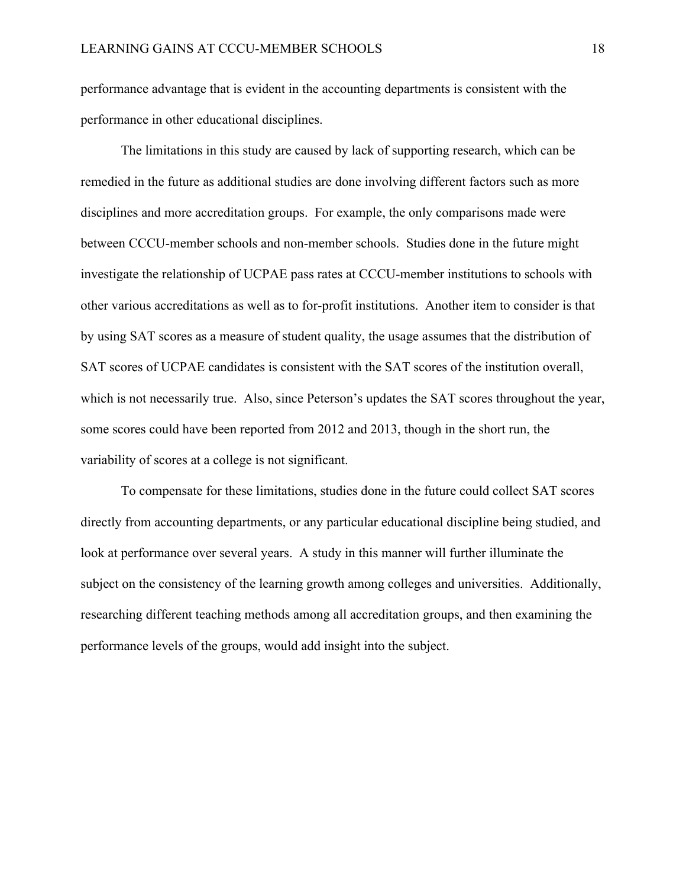performance advantage that is evident in the accounting departments is consistent with the performance in other educational disciplines.

The limitations in this study are caused by lack of supporting research, which can be remedied in the future as additional studies are done involving different factors such as more disciplines and more accreditation groups. For example, the only comparisons made were between CCCU-member schools and non-member schools. Studies done in the future might investigate the relationship of UCPAE pass rates at CCCU-member institutions to schools with other various accreditations as well as to for-profit institutions. Another item to consider is that by using SAT scores as a measure of student quality, the usage assumes that the distribution of SAT scores of UCPAE candidates is consistent with the SAT scores of the institution overall, which is not necessarily true. Also, since Peterson's updates the SAT scores throughout the year, some scores could have been reported from 2012 and 2013, though in the short run, the variability of scores at a college is not significant.

To compensate for these limitations, studies done in the future could collect SAT scores directly from accounting departments, or any particular educational discipline being studied, and look at performance over several years. A study in this manner will further illuminate the subject on the consistency of the learning growth among colleges and universities. Additionally, researching different teaching methods among all accreditation groups, and then examining the performance levels of the groups, would add insight into the subject.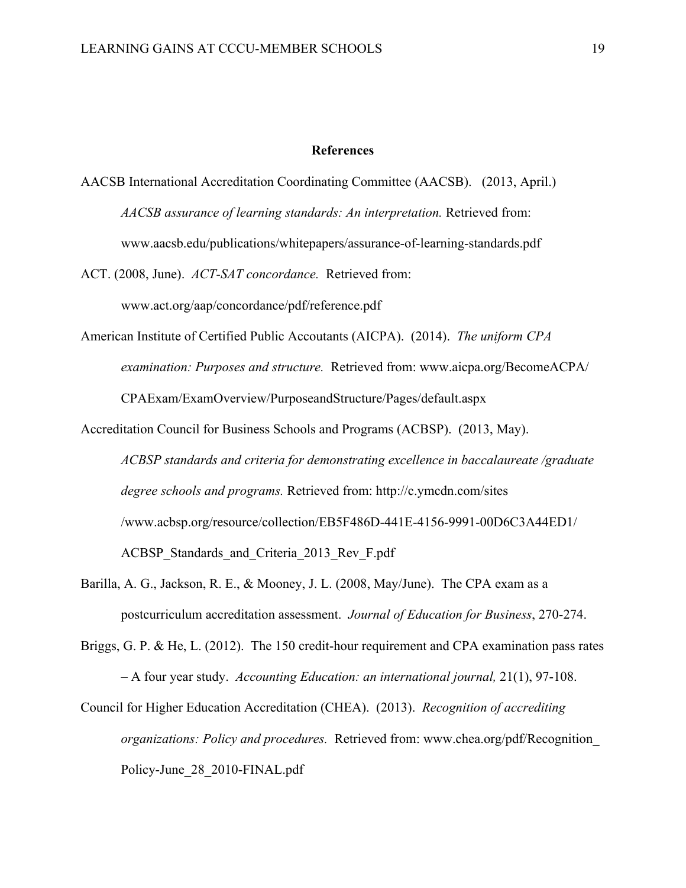## **References**

AACSB International Accreditation Coordinating Committee (AACSB). (2013, April.) *AACSB assurance of learning standards: An interpretation.* Retrieved from: www.aacsb.edu/publications/whitepapers/assurance-of-learning-standards.pdf

ACT. (2008, June). *ACT-SAT concordance.* Retrieved from: www.act.org/aap/concordance/pdf/reference.pdf

American Institute of Certified Public Accoutants (AICPA). (2014). *The uniform CPA examination: Purposes and structure.* Retrieved from: www.aicpa.org/BecomeACPA/ CPAExam/ExamOverview/PurposeandStructure/Pages/default.aspx

Accreditation Council for Business Schools and Programs (ACBSP). (2013, May). *ACBSP standards and criteria for demonstrating excellence in baccalaureate /graduate degree schools and programs.* Retrieved from: http://c.ymcdn.com/sites /www.acbsp.org/resource/collection/EB5F486D-441E-4156-9991-00D6C3A44ED1/ ACBSP Standards and Criteria 2013 Rev F.pdf

Barilla, A. G., Jackson, R. E., & Mooney, J. L. (2008, May/June). The CPA exam as a postcurriculum accreditation assessment. *Journal of Education for Business*, 270-274.

Briggs, G. P. & He, L. (2012). The 150 credit-hour requirement and CPA examination pass rates – A four year study. *Accounting Education: an international journal,* 21(1), 97-108.

Council for Higher Education Accreditation (CHEA). (2013). *Recognition of accrediting organizations: Policy and procedures.* Retrieved from: www.chea.org/pdf/Recognition\_ Policy-June\_28\_2010-FINAL.pdf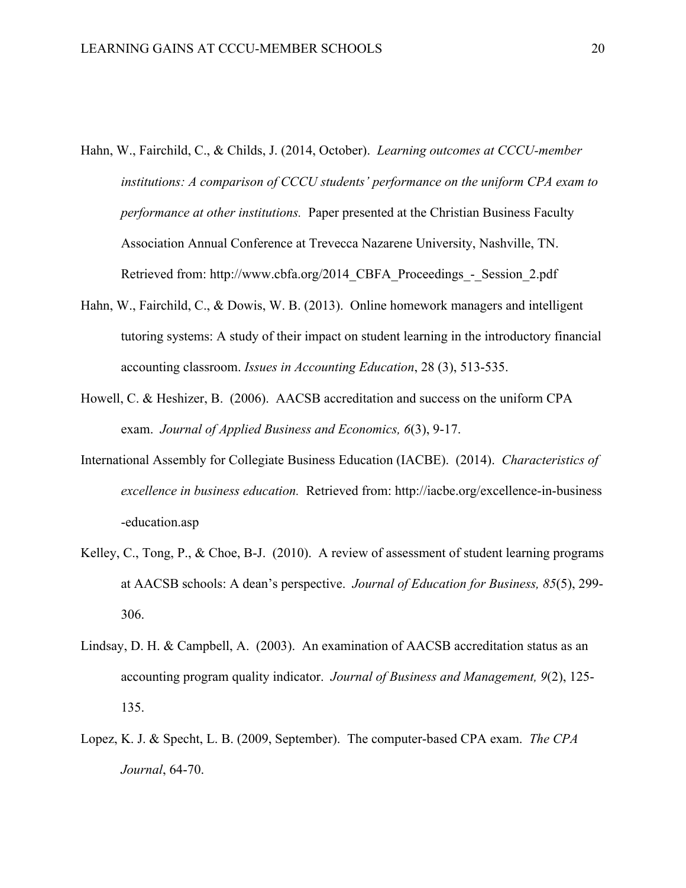- Hahn, W., Fairchild, C., & Childs, J. (2014, October). *Learning outcomes at CCCU-member institutions: A comparison of CCCU students' performance on the uniform CPA exam to performance at other institutions.* Paper presented at the Christian Business Faculty Association Annual Conference at Trevecca Nazarene University, Nashville, TN. Retrieved from: http://www.cbfa.org/2014\_CBFA\_Proceedings\_-\_Session\_2.pdf
- Hahn, W., Fairchild, C., & Dowis, W. B. (2013). Online homework managers and intelligent tutoring systems: A study of their impact on student learning in the introductory financial accounting classroom. *Issues in Accounting Education*, 28 (3), 513-535.
- Howell, C. & Heshizer, B. (2006). AACSB accreditation and success on the uniform CPA exam. *Journal of Applied Business and Economics, 6*(3), 9-17.
- International Assembly for Collegiate Business Education (IACBE). (2014). *Characteristics of excellence in business education.* Retrieved from: http://iacbe.org/excellence-in-business -education.asp
- Kelley, C., Tong, P., & Choe, B-J. (2010). A review of assessment of student learning programs at AACSB schools: A dean's perspective. *Journal of Education for Business, 85*(5), 299- 306.
- Lindsay, D. H. & Campbell, A. (2003). An examination of AACSB accreditation status as an accounting program quality indicator. *Journal of Business and Management, 9*(2), 125- 135.
- Lopez, K. J. & Specht, L. B. (2009, September). The computer-based CPA exam. *The CPA Journal*, 64-70.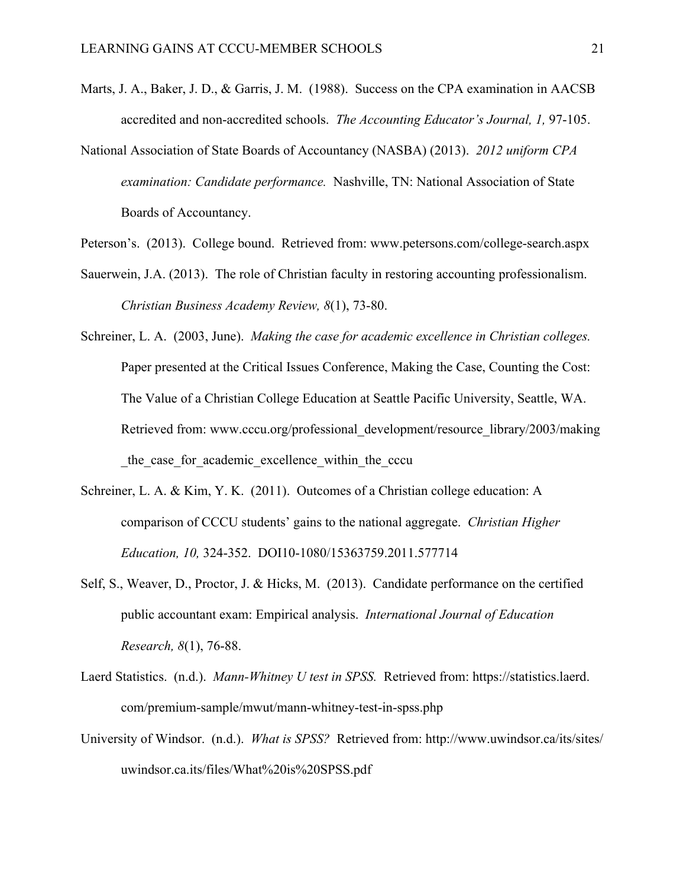- Marts, J. A., Baker, J. D., & Garris, J. M. (1988). Success on the CPA examination in AACSB accredited and non-accredited schools. *The Accounting Educator's Journal, 1,* 97-105.
- National Association of State Boards of Accountancy (NASBA) (2013). *2012 uniform CPA examination: Candidate performance.* Nashville, TN: National Association of State Boards of Accountancy.
- Peterson's. (2013). College bound. Retrieved from: www.petersons.com/college-search.aspx
- Sauerwein, J.A. (2013). The role of Christian faculty in restoring accounting professionalism. *Christian Business Academy Review, 8*(1), 73-80.
- Schreiner, L. A. (2003, June). *Making the case for academic excellence in Christian colleges.* Paper presented at the Critical Issues Conference, Making the Case, Counting the Cost: The Value of a Christian College Education at Seattle Pacific University, Seattle, WA. Retrieved from: www.cccu.org/professional\_development/resource\_library/2003/making the case for academic excellence within the cccu
- Schreiner, L. A. & Kim, Y. K. (2011). Outcomes of a Christian college education: A comparison of CCCU students' gains to the national aggregate. *Christian Higher Education, 10,* 324-352. DOI10-1080/15363759.2011.577714
- Self, S., Weaver, D., Proctor, J. & Hicks, M. (2013). Candidate performance on the certified public accountant exam: Empirical analysis. *International Journal of Education Research, 8*(1), 76-88.
- Laerd Statistics. (n.d.). *Mann-Whitney U test in SPSS.* Retrieved from: https://statistics.laerd. com/premium-sample/mwut/mann-whitney-test-in-spss.php
- University of Windsor. (n.d.). *What is SPSS?* Retrieved from: http://www.uwindsor.ca/its/sites/ uwindsor.ca.its/files/What%20is%20SPSS.pdf